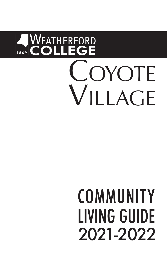# **WEATHERFORD<br>COLLEGE** OYOTE  $\overline{V}$ II I AGE

# COMMUNITY **LIVING GUIDE** 2021-2022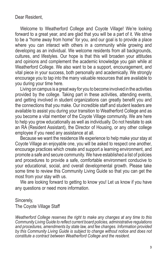Dear Resident,

Welcome to Weatherford College and Coyote Village! We're looking forward to a great year, and are glad that you will be a part of it. We strive to be a "home away from home" for you, and our goal is to provide a place where you can interact with others in a community while growing and developing as an individual. We welcome residents from all backgrounds, cultures, and lifestyles. Our hope is that this will broaden your attitudes and opinions and complement the academic knowledge you gain while at Weatherford College. We also want to be a support, encouragement, and vital piece in your success, both personally and academically. We strongly encourage you to tap into the many valuable resources that are available to you during your time here.

Living on campus is a great way for you to become involved in the activities provided by the college. Taking part in these activities, attending events, and getting involved in student organizations can greatly benefit you and the connections that you make. Our incredible staff and student leaders are available to assist you during your transition to Weatherford College and as you become a vital member of the Coyote Village community. We are here to help you grow educationally as well as individually. Do not hesitate to ask an RA (Resident Assistant), the Director of Housing, or any other college employee if you need any assistance at all.

Because we want the residence life experience to help make your stay at Coyote Village an enjoyable one, you will be asked to respect one another, encourage practices which create and support a learning environment, and promote a safe and secure community. We have established a list of policies and procedures to provide a safe, comfortable environment conducive to your educational, social, and overall developmental growth. Please take some time to review this Community Living Guide so that you can get the most from your stay with us.

We are looking forward to getting to know you! Let us know if you have any questions or need more information.

#### Sincerely,

The Coyote Village Staff

*Weatherford College reserves the right to make any changes at any time to this Community Living Guide to reflect current board policies, administrative regulations and procedures, amendments by state law, and fee changes. Information provided*  by this Community Living Guide is subject to change without notice and does not *constitute a contract between Weatherford College and the resident.*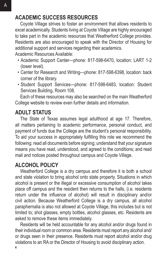# **ACADEMIC SUCCESS RESOURCES**

Coyote Village strives to foster an environment that allows residents to excel academically. Students living at Coyote Village are highly encouraged to take part in the academic resources that Weatherford College provides. Residents are also encouraged to speak with the Director of Housing for additional support and services regarding their academics.

Academic Resources Available:

- Academic Support Center—phone: 817-598-6470, location: LART 1-2 (lower level).
- Center for Research and Writing—phone: 817-598-6398, location: back corner of the library.
- Student Support Services—phone: 817-598-6483, location: Student Services Building, Room 108.

Each of these resources may also be searched on the main Weatherford College website to review even further details and information.

# **ADULT STATUS**

The State of Texas assumes legal adulthood at age 17. Therefore, all matters pertaining to academic performance, personal conduct, and payment of funds due the College are the student's personal responsibility. To aid your success in appropriately fulfilling this role we recommend the following: read all documents before signing; understand that your signature means you have read, understood, and agreed to the conditions; and read mail and notices posted throughout campus and Coyote Village.

# **ALCOHOL POLICY**

Weatherford College is a dry campus and therefore it is both a school and state violation to bring alcohol onto state property. Situations in which alcohol is present or the illegal or excessive consumption of alcohol takes place off campus and the resident then returns to the halls, (i.e. residents return under the influence of alcohol) will result in disciplinary and/or civil action. Because Weatherford College is a dry campus, all alcohol paraphernalia is also not allowed at Coyote Village, this includes but is not limited to; shot glasses, empty bottles, alcohol glasses, etc. Residents are asked to remove these items immediately.

**4** Residents will be held accountable for any alcohol and/or drugs found in their individual room or common area. Residents must report any alcohol and/ or drugs seen in their presence. Residents must report alcohol and/or drug violations to an RA or the Director of Housing to avoid disciplinary action.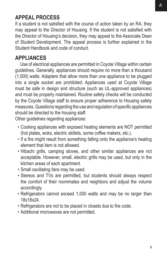# **APPEAL PROCESS**

If a student is not satisfied with the course of action taken by an RA, they may appeal to the Director of Housing. If the student is not satisfied with the Director of Housing's decision, they may appeal to the Associate Dean of Student Development. The appeal process is further explained in the Student Handbook and code of conduct.

#### **APPLIANCES**

Use of electrical appliances are permitted in Coyote Village within certain guidelines. Generally, appliances should require no more than a thousand (1,000) watts. Adapters that allow more than one appliance to be plugged into a single socket are prohibited. Appliances used at Coyote Village must be safe in design and structure (such as UL-approved appliances) and must be properly maintained. Routine safety checks will be conducted by the Coyote Village staff to ensure proper adherence to Housing safety measures. Questions regarding the use and regulation of specific appliances should be directed to the housing staff.

Other guidelines regarding appliances:

- Cooking appliances with exposed heating elements are NOT permitted (hot plates, woks, electric skillets, some coffee makers, etc.).
- If a fire might result from something falling onto the appliance's heating element that item is not allowed.
- Hibachi grills, camping stoves, and other similar appliances are not acceptable. However, small, electric grills may be used, but only in the kitchen areas of each apartment.
- Small oscillating fans may be used.
- Stereos and TVs are permitted, but students should always respect the comfort of their roommates and neighbors and adjust the volume accordingly.
- Refrigerators cannot exceed 1,000 watts and may be no larger than 18x18x24.
- Refrigerators are not to be placed in closets due to fire code.
- Additional microwaves are not permitted.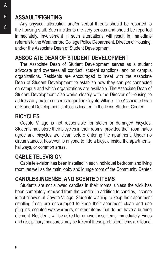# **ASSAULT/FIGHTING**

Any physical altercation and/or verbal threats should be reported to the housing staff. Such incidents are very serious and should be reported immediately. Involvement in such altercations will result in immediate referrals to the Weatherford College Police Department, Director of Housing, and/or the Associate Dean of Student Development.

# **ASSOCIATE DEAN OF STUDENT DEVELOPMENT**

The Associate Dean of Student Development serves as a student advocate and oversees all conduct, student sanctions, and on campus organizations. Residents are encouraged to meet with the Associate Dean of Student Development to establish how they can get connected on campus and which organizations are available. The Associate Dean of Student Development also works closely with the Director of Housing to address any major concerns regarding Coyote Village. The Associate Dean of Student Development's office is located in the Doss Student Center.

#### **BICYCLES**

Coyote Village is not responsible for stolen or damaged bicycles. Students may store their bicycles in their rooms, provided their roommates agree and bicycles are clean before entering the apartment. Under no circumstances, however, is anyone to ride a bicycle inside the apartments, hallways, or common areas.

#### **CABLE TELEVISION**

Cable television has been installed in each individual bedroom and living room, as well as the main lobby and lounge room of the Community Center.

# **CANDLES,INCENSE, AND SCENTED ITEMS**

Students are not allowed candles in their rooms, unless the wick has been completely removed from the candle. In addition to candles, incense is not allowed at Coyote Village. Students wishing to keep their apartment smelling fresh are encouraged to keep their apartment clean and use plug-ins, scented wax warmers, or other items that do not have a burning element. Residents will be asked to remove these items immediately. Fines and disciplinary measures may be taken if these prohibited items are found.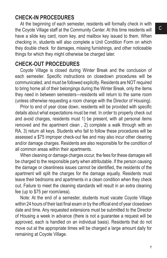#### **CHECK-IN PROCEDURES**

At the beginning of each semester, residents will formally check in with the Coyote Village staff at the Community Center. At this time residents will have a slide key card, room key, and mailbox key issued to them. When checking in, students will also complete a Unit Condition Form on which they double check for damages, missing furnishings, and other noticeable things for which they might otherwise be charged later.

#### **CHECK-OUT PROCEDURES**

Coyote Village is closed during Winter Break and the conclusion of each semester. Specific instructions on closedown procedures will be communicated, and must be followed explicitly. Residents are NOT required to bring home all of their belongings during the Winter Break, only the items they need in between semesters—residents will return to the same room (unless otherwise requesting a room change with the Director of Housing).

Prior to end of year close down, residents will be provided with specific details about what expectations must be met. In order to properly check out and avoid charges, residents must 1) be present, with all personal items removed and the apartment clean , 2) complete a walk through with an RA, 3) return all keys. Students who fail to follow these procedures will be assessed a \$75 improper check-out fee and may also incur other cleaning and/or damage charges. Residents are also responsible for the condition of all common areas within their apartments.

When cleaning or damage charges occur, the fees for these damages will be charged to the responsible party when attributable. If the person causing the damage or cleanliness issues cannot be identified, the residents of the apartment will split the charges for the damage equally. Residents must leave their bedrooms and apartments in a clean condition when they check out. Failure to meet the cleaning standards will result in an extra cleaning fee (up to \$75 per room/area).

Note: At the end of a semester, students must vacate Coyote Village within 24 hours of their last final exam or by the official end of year closedown date and time. Any requested extensions must be submitted to the Director of Housing a week in advance (there is not a guarantee a request will be approved, each is handled on an individual basis). Residents that do not move out at the appropriate times will be charged a large amount daily for remaining at Coyote Village.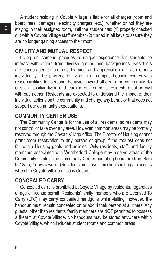C

A student residing in Coyote Village is liable for all charges (room and board fees, damages, electricity charges, etc.), whether or not they are staying in their assigned room, until the student has: (1) properly checked out with a Coyote Village staff member (2) turned in all keys to assure they are no longer gaining access to their room.

#### **CIVILITY AND MUTUAL RESPECT**

Living on campus provides a unique experience for students to interact with others from diverse groups and backgrounds. Residents are encouraged to promote learning and appreciation of each other's individuality. The privilege of living in on-campus housing comes with responsibilities for personal behavior toward others in the community. To create a positive living and learning environment, residents must be civil with each other. Residents are expected to understand the impact of their individual actions on the community and change any behavior that does not support our community expectations.

#### **COMMUNITY CENTER USE**

The Community Center is for the use of all residents, so residents may not control or take over any area. However, common areas may be formally reserved through the Coyote Village office. The Director of Housing cannot grant room reservation to any person or group if the request does not fall within Housing goals and policies. Only residents, staff, and faculty members associated with Weatherford College may reserve areas of the Community Center. The Community Center operating hours are from 8am to 12am, 7 days a week. (Residents must use their slide card to gain access when the Coyote Village office is closed).

#### **CONCEALED CARRY**

Concealed carry is prohibited at Coyote Village by residents, regardless of age or license permit. Residents' family members who are Licensed To Carry (LTC) may carry concealed handguns while visiting, however, the handgun must remain concealed on or about their person at all times. Any guests, other than residents' family members are NOT permitted to possess a firearm at Coyote Village. No handguns may be stored anywhere within Coyote Village, which includes student rooms and common areas.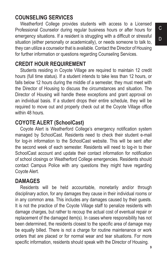# **COUNSELING SERVICES**

Weatherford College provides students with access to a Licensed Professional Counselor during regular business hours or after hours for emergency situations. If a resident is struggling with a difficult or stressful situation (either personally or academically), or needs someone to talk to, they can utilize a counselor that is available. Contact the Director of Housing for further information or questions regarding Counseling Services.

#### **CREDIT HOUR REQUIREMENT**

Students residing in Coyote Village are required to maintain 12 credit hours (full time status). If a student intends to take less than 12 hours, or falls below 12 hours during the middle of a semester, they must meet with the Director of Housing to discuss the circumstances and situation. The Director of Housing will handle these exceptions and grant approval on an individual basis. If a student drops their entire schedule, they will be required to move out and properly check out at the Coyote Village office within 48 hours.

# **COYOTE ALERT (SchoolCast)**

Coyote Alert is Weatherford College's emergency notification system managed by SchoolCast. Residents need to check their student e-mail for log-in information to the SchoolCast website. This will be sent after the second week of each semester. Residents will need to log-in to their SchoolCast account and update their contact information for notification of school closings or Weatherford College emergencies. Residents should contact Campus Police with any questions they might have regarding Coyote Alert.

# **DAMAGES**

Residents will be held accountable, monetarily and/or through disciplinary action, for any damages they cause in their individual rooms or in any common area. This includes any damages caused by their guests. It is not the practice of the Coyote Village staff to penalize residents with damage charges, but rather to recoup the actual cost of eventual repair or replacement of the damaged item(s). In cases where responsibility has not been determined, the residents closest to the specific area of damage may be equally billed. There is not a charge for routine maintenance or work orders that are placed or for normal wear and tear situations. For more specific information, residents should speak with the Director of Housing.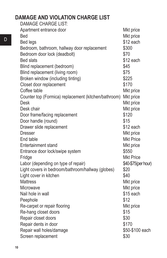# **DAMAGE AND VIOLATION CHARGE LIST**

| <b>DAMAGE CHARGE LIST:</b>                           |                     |
|------------------------------------------------------|---------------------|
| Apartment entrance door                              | Mkt price           |
| <b>Bed</b>                                           | Mkt price           |
| <b>Bed legs</b>                                      | \$12 each           |
| Bedroom, bathroom, hallway door replacement          | \$300               |
| Bedroom door lock (deadbolt)                         | \$70                |
| <b>Bed slats</b>                                     | \$12 each           |
| Blind replacement (bedroom)                          | \$45                |
| Blind replacement (living room)                      | \$75                |
| Broken window (including tinting)                    | \$225               |
| Closet door replacement                              | \$170               |
| Coffee table                                         | Mkt price           |
| Counter top (Formica) replacement (kitchen/bathroom) | Mkt price           |
| <b>Desk</b>                                          | Mkt price           |
| Desk chair                                           | Mkt price           |
| Door frame/facing replacement                        | \$120               |
| Door handle (round)                                  | \$15                |
| Drawer slide replacement                             | \$12 each           |
| <b>Dresser</b>                                       | Mkt price           |
| End table                                            | <b>Mkt Price</b>    |
| Entertainment stand                                  | Mkt price           |
| Entrance door lock/swipe system                      | \$550               |
| Fridge                                               | <b>Mkt Price</b>    |
| Labor (depending on type of repair)                  | \$40-\$75(per hour) |
| Light covers in bedroom/bathroom/hallway (globes)    | \$20                |
| Light cover in kitchen                               | \$40                |
| <b>Mattress</b>                                      | Mkt price           |
| Microwave                                            | Mkt price           |
| Nail hole in wall                                    | \$15 each           |
| Peephole                                             | \$12                |
| Re-carpet or repair flooring                         | Mkt price           |
| Re-hang closet doors                                 | \$15                |
| Repair closet doors                                  | \$30                |
| Repair dents in door                                 | \$170               |
| Repair wall holes/damage                             | \$50-\$100 each     |
| Screen replacement                                   | \$30                |
|                                                      |                     |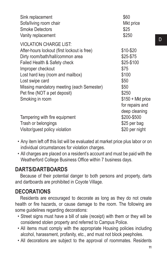| Sink replacement                                                                       | \$60                                                           |
|----------------------------------------------------------------------------------------|----------------------------------------------------------------|
| Sofa/living room chair                                                                 | Mkt price                                                      |
| <b>Smoke Detectors</b>                                                                 | \$25                                                           |
| Vanity replacement                                                                     | \$250                                                          |
| <b>VIOLATION CHARGE LIST:</b>                                                          | \$10-\$20                                                      |
| After-hours lockout (first lockout is free)                                            | \$25-\$75                                                      |
| Dirty room/bath/hall/common area                                                       | \$25-\$100                                                     |
| Failed Health & Safety check                                                           | \$75                                                           |
| Improper checkout                                                                      | \$100                                                          |
| Lost hard key (room and mailbox)                                                       | \$50                                                           |
| Lost swipe card                                                                        | \$50                                                           |
| Missing mandatory meeting (each Semester)                                              | \$250                                                          |
| Pet fine (NOT a pet deposit)                                                           | $$150 + Mkt$ price                                             |
| Smoking in room                                                                        | for repairs and                                                |
| Tampering with fire equipment<br>Trash or belongings<br>Visitor/guest policy violation | deep cleaning<br>\$200-\$500<br>\$25 per bag<br>\$20 per night |

- Any item left off this list will be evaluated at market price plus labor or on individual circumstances for violation charges.
- All charges are placed on a resident's account and must be paid with the Weatherford College Business Office within 7 business days.

# **DARTS/DARTBOARDS**

Because of their potential danger to both persons and property, darts and dartboards are prohibited in Coyote Village.

#### **DECORATIONS**

Residents are encouraged to decorate as long as they do not create health or fire hazards, or cause damage to the room. The following are some guidelines regarding decorations:

- Street signs must have a bill of sale (receipt) with them or they will be considered stolen property and referred to Campus Police.
- All items must comply with the appropriate Housing policies including alcohol, harassment, profanity, etc., and must not block peepholes.
- All decorations are subject to the approval of roommates. Residents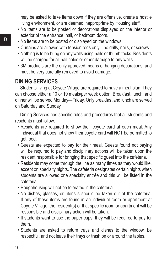may be asked to take items down if they are offensive, create a hostile living environment, or are deemed inappropriate by Housing staff.

- No items are to be posted or decorations displayed on the interior or exterior of the entrance, hall, or bedroom doors.
- No items are to be posted or displayed on the windows.
- Curtains are allowed with tension rods only—no drills, nails, or screws.
- Nothing is to be hung on any walls using nails or thumb tacks. Residents will be charged for all nail holes or other damage to any walls.
- 3M products are the only approved means of hanging decorations, and must be very carefully removed to avoid damage.

#### **DINING SERVICES**

Students living at Coyote Village are required to have a meal plan. They can choose either a 10 or 19 meals/per week option. Breakfast, lunch, and dinner will be served Monday—Friday. Only breakfast and lunch are served on Saturday and Sunday.

Dining Services has specific rules and procedures that all students and residents must follow:

- Residents are required to show their coyote card at each meal. Any individual that does not show their coyote card will NOT be permitted to get food.
- Guests are expected to pay for their meal. Guests found not paying will be required to pay and disciplinary actions will be taken upon the resident responsible for bringing that specific guest into the cafeteria.
- Residents may come through the line as many times as they would like, except on specialty nights. The cafeteria designates certain nights when students are allowed one specialty entrée and this will be listed in the cafeteria.
- Roughhousing will not be tolerated in the cafeteria.
- No dishes, glasses, or utensils should be taken out of the cafeteria. If any of these items are found in an individual room or apartment at Coyote Village, the resident(s) of that specific room or apartment will be responsible and disciplinary action will be taken.
- If students want to use the paper cups, they will be required to pay for them.
- Students are asked to return trays and dishes to the window, be respectful, and not leave their trays or trash on or around the tables.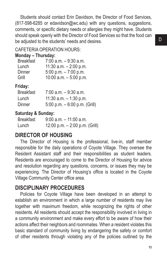Students should contact Erin Davidson, the Director of Food Services, (817-598-6285 or edavidson@wc.edu) with any questions, suggestions, comments, or specific dietary needs or allergies they might have. Students should speak openly with the Director of Food Services so that the food can be adjusted to the students' needs and desires.

#### CAFETERIA OPERATION HOURS:

#### **Monday – Thursday:**

| <b>Breakfast</b> | $7:00$ a.m. $-9:30$ a.m.  |
|------------------|---------------------------|
| Lunch            | 11:30 a.m. $- 2:00$ p.m.  |
| Dinner           | 5:00 p.m. $-7:00$ p.m.    |
| Grill            | $10:00$ a.m. $-5:00$ p.m. |

#### **Friday:**

| <b>Breakfast</b> | $7:00$ a.m. $-9:30$ a.m.       |
|------------------|--------------------------------|
| Lunch            | 11:30 a.m. $-$ 1:30 p.m.       |
| Dinner           | 5:00 p.m. $-6:00$ p.m. (Grill) |

#### **Saturday & Sunday:**

| <b>Breakfast</b> | $9:00$ a.m. $-11:00$ a.m.        |
|------------------|----------------------------------|
| Lunch            | 12:00 p.m. $-$ 2:00 p.m. (Grill) |

# **DIRECTOR OF HOUSING**

The Director of Housing is the professional, live-in, staff member responsible for the daily operations of Coyote Village. They oversee the Resident Assistant staff and their responsibilities as student leaders. Residents are encouraged to come to the Director of Housing for advice and resolution regarding any questions, concerns, or issues they may be experiencing. The Director of Housing's office is located in the Coyote Village Community Center office area.

# **DISCIPLINARY PROCEDURES**

Policies for Coyote Village have been developed in an attempt to establish an environment in which a large number of residents may live together with maximum freedom, while recognizing the rights of other residents. All residents should accept the responsibility involved in living in a community environment and make every effort to be aware of how their actions affect their neighbors and roommates. When a resident violates this basic standard of community living by endangering the safety or comfort of other residents through violating any of the policies outlined by the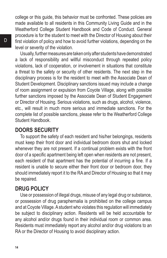college or this guide, this behavior must be confronted. These policies are made available to all residents in this Community Living Guide and in the Weatherford College Student Handbook and Code of Conduct. General procedure is for the student to meet with the Director of Housing about their first violation of policy and how to avoid further violations, depending on the level or severity of the violation.

Usually, further measures are taken only after students have demonstrated a lack of responsibility and willful misconduct through repeated policy violations, lack of cooperation, or involvement in situations that constitute a threat to the safety or security of other residents. The next step in the disciplinary process is for the resident to meet with the Associate Dean of Student Development. Disciplinary sanctions issued may include a change of room assignment or expulsion from Coyote Village, along with possible further sanctions imposed by the Associate Dean of Student Engagement or Director of Housing. Serious violations, such as drugs, alcohol, violence, etc., will result in much more serious and immediate sanctions. For the complete list of possible sanctions, please refer to the Weatherford College Student Handbook.

#### **DOORS SECURITY**

To support the safety of each resident and his/her belongings, residents must keep their front door and individual bedroom doors shut and locked whenever they are not present. If a continual problem exists with the front door of a specific apartment being left open when residents are not present, each resident of that apartment has the potential of incurring a fine. If a resident is unable to secure either their front door or bedroom door, they should immediately report it to the RA and Director of Housing so that it may be repaired.

#### **DRUG POLICY**

Use or possession of illegal drugs, misuse of any legal drug or substance, or possession of drug paraphernalia is prohibited on the college campus and at Coyote Village. A student who violates this regulation will immediately be subject to disciplinary action. Residents will be held accountable for any alcohol and/or drugs found in their individual room or common area. Residents must immediately report any alcohol and/or drug violations to an RA or the Director of Housing to avoid disciplinary action.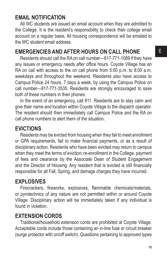#### E

#### **EMAIL NOTIFICATION**

All WC students are issued an email account when they are admitted to the College. It is the resident's responsibility to check their college email account on a regular basis. All housing correspondence will be emailed to the WC student email address.

#### **EMERGENCIES AND AFTER HOURS ON CALL PHONE**

Residents should call the RA on call number—817-771-1089 if they have any issues or emergency needs after office hours. Coyote Village has an RA on call with access to the on call phone from 5:00 p.m. to 8:00 a.m. weekdays and throughout the weekend. Residents also have access to Campus Police 24 hours, 7 days a week, by using the Campus Police on call number—817-771-3535. Residents are strongly encouraged to save both of these numbers in their phones.

In the event of an emergency, call 911. Residents are to stay calm and give their name and location within Coyote Village to the dispatch operator. The resident should then immediately call Campus Police and the RA on call phone numbers to alert them of the situation.

#### **EVICTIONS**

Residents may be evicted from housing when they fail to meet enrollment or GPA requirements, fail to make financial payments, or as a result of disciplinary action. Residents who have been evicted may return to campus when they meet the terms of eviction; re-enrollment in the College, payment of fees and clearance by the Associate Dean of Student Engagement and the Director of Housing. Any resident that is evicted is still financially responsible for all Fall, Spring, and damage charges they have incurred.

#### **EXPLOSIVES**

Firecrackers, fireworks, explosives, flammable chemicals/materials, or pyrotechnics of any nature are not permitted within or around Coyote Village. Disciplinary action will be immediately taken if any individual is found in violation.

#### **EXTENSION CORDS**

Traditional/household extension cords are prohibited at Coyote Village. Acceptable cords include those containing an in-line fuse or circuit breaker (surge protector with on/off switch). Questions pertaining to approved types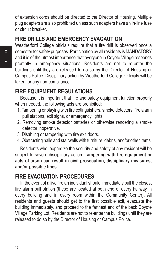of extension cords should be directed to the Director of Housing. Multiple plug adapters are also prohibited unless such adapters have an in-line fuse or circuit breaker.

# **FIRE DRILLS AND EMERGENCY EVACAUTION**

Weatherford College officials require that a fire drill is observed once a semester for safety purposes. Participation by all residents is MANDATORY and it is of the utmost importance that everyone in Coyote Village responds promptly in emergency situations. Residents are not to re-enter the buildings until they are released to do so by the Director of Housing or Campus Police. Disciplinary action by Weatherford College Officials will be taken for any non-compliance.

# **FIRE EQUIPMENT REGULATIONS**

Because it is important that fire and safety equipment function properly when needed, the following acts are prohibited:

- 1. Tampering or playing with fire extinguishers, smoke detectors, fire alarm pull stations, exit signs, or emergency lights.
- 2. Removing smoke detector batteries or otherwise rendering a smoke detector inoperative.
- 3. Disabling or tampering with fire exit doors.
- 4. Obstructing halls and stairwells with furniture, debris, and/or other items.

Residents who jeopardize the security and safety of any resident will be subject to severe disciplinary action. **Tampering with fire equipment or acts of arson can result in civil prosecution, disciplinary measures, and/or possible fines.** 

# **FIRE EVACUATION PROCEDURES**

In the event of a live fire an individual should immediately pull the closest fire alarm pull station (these are located at both end of every hallway in every building and in every room within the Community Center). All residents and guests should get to the first possible exit, evacuate the building immediately, and proceed to the farthest end of the back Coyote Village Parking Lot. Residents are not to re-enter the buildings until they are released to do so by the Director of Housing or Campus Police.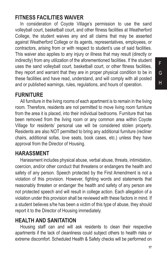#### **FITNESS FACILITIES WAIVER**

In consideration of Coyote Village's permission to use the sand volleyball court, basketball court, and other fitness facilities at Weatherford College, the student waives any and all claims that may be asserted against Weatherford College or its agents, representatives, employees, or contractors, arising from or with respect to student's use of said facilities. This waiver also applies to any injury or illness that may result (directly or indirectly) from any utilization of the aforementioned facilities. If the student uses the sand volleyball court, basketball court, or other fitness facilities, they report and warrant that they are in proper physical condition to be in these facilities and have read, understand, and will comply with all posted and or published warnings, rules, regulations, and hours of operation.

#### **FURNITURE**

All furniture in the living rooms of each apartment is to remain in the living room. Therefore, residents are not permitted to move living room furniture from the area it is placed, into their individual bedrooms. Furniture that has been removed from the living room or any common area within Coyote Village for residents' personal use will be considered stolen property. Residents are also NOT permitted to bring any additional furniture (recliner chairs, additional sofas, love seats, book cases, etc.) unless they have approval from the Director of Housing.

#### **HARASSMENT**

Harassment includes physical abuse, verbal abuse, threats, intimidation, coercion, and/or other conduct that threatens or endangers the health and safety of any person. Speech protected by the First Amendment is not a violation of this provision. However, fighting words and statements that reasonably threaten or endanger the health and safety of any person are not protected speech and will result in college action. Each allegation of a violation under this provision shall be reviewed with these factors in mind. If a student believes s/he has been a victim of this type of abuse, they should report it to the Director of Housing immediately.

#### **HEALTH AND SANITATION**

Housing staff can and will ask residents to clean their respective apartments if the lack of cleanliness could subject others to health risks or extreme discomfort. Scheduled Health & Safety checks will be performed on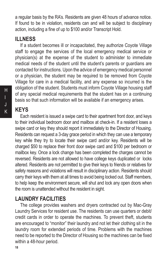a regular basis by the RA's. Residents are given 48 hours of advance notice. If found to be in violation, residents can and will be subject to disciplinary action, including a fine of up to \$100 and/or Transcript Hold.

#### **ILLNESS**

If a student becomes ill or incapacitated, they authorize Coyote Village staff to engage the services of the local emergency medical service or physician(s) at the expense of the student to administer to immediate medical needs of the student until the student's parents or guardians are contacted for instructions. Upon the advice of emergency medical personnel or a physician, the student may be required to be removed from Coyote Village for care in a medical facility, and any expense so incurred is the obligation of the student. Students must inform Coyote Village housing staff of any special medical requirements that the student has on a continuing basis so that such information will be available if an emergency arises.

# **KEYS**

Each resident is issued a swipe card to their apartment front door, and keys to their individual bedroom door and mailbox at check-in. If a resident loses a swipe card or key they should report it immediately to the Director of Housing. Residents can request a 3-day grace period in which they can use a temporary key while they try to locate their swipe card and/or key. Residents will be charged \$50 to replace their front door swipe card and \$100 per bedroom or mailbox key. Once a lock change has been completed the charges cannot be reversed. Residents are not allowed to have college keys duplicated or locks altered. Residents are not permitted to give their keys to friends or relatives for safety reasons and violations will result in disciplinary action. Residents should carry their keys with them at all times to avoid being locked out. Staff members, to help keep the environment secure, will shut and lock any open doors when the room is unattended without the resident in sight.

#### **LAUNDRY FACILITIES**

The college provides washers and dryers contracted out by Mac-Gray Laundry Services for resident use. The residents can use quarters or debit/ credit cards in order to operate the machines. To prevent theft, students are encouraged to "monitor" their laundry and not let their clothing sit in the laundry room for extended periods of time. Problems with the machines need to be reported to the Director of Housing so the machines can be fixed within a 48-hour period.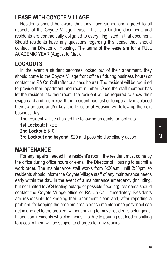# **LEASE WITH COYOTE VILLAGE**

Residents should be aware that they have signed and agreed to all aspects of the Coyote Village Lease. This is a binding document, and residents are contractually obligated to everything listed in that document. Should residents have any questions regarding this Lease they should contact the Director of Housing. The terms of the lease are for a FULL ACADEMIC YEAR (August to May).

#### **LOCKOUTS**

In the event a student becomes locked out of their apartment, they should come to the Coyote Village front office (if during business hours) or contact the RA On-Call (after business hours). The resident will be required to provide their apartment and room number. Once the staff member has let the resident into their room, the resident will be required to show their swipe card and room key. If the resident has lost or temporarily misplaced their swipe card and/or key, the Director of Housing will follow up the next business day.

The resident will be charged the following amounts for lockouts:

**1st Lockout:** FREE

**2nd Lockout:** \$10

**3rd Lockout and beyond:** \$20 and possible disciplinary action

#### **MAINTENANCE**

For any repairs needed in a resident's room, the resident must come by the office during office hours or e-mail the Director of Housing to submit a work order. The maintenance staff works from 6:30a.m. until 2:30pm so residents should inform the Coyote Village staff of any maintenance needs early within the day. In the event of a maintenance emergency (including, but not limited to AC/Heating outage or possible flooding), residents should contact the Coyote Village office or RA On-Call immediately. Residents are responsible for keeping their apartment clean and, after reporting a problem, for keeping the problem area clear so maintenance personnel can get in and get to the problem without having to move resident's belongings. In addition, residents who clog their sinks due to pouring out food or spitting tobacco in them will be subject to charges for any repairs.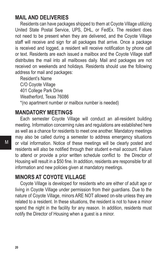#### **MAIL AND DELIVERIES**

Residents can have packages shipped to them at Coyote Village utilizing United State Postal Service, UPS, DHL, or FedEx. The resident does not need to be present when they are delivered, and the Coyote Village staff will receive and sign for all packages that arrive. Once a package is received and logged, a resident will receive notification by phone call or text. Residents are each issued a mailbox and the Coyote Village staff distributes the mail into all mailboxes daily. Mail and packages are not received on weekends and holidays. Residents should use the following address for mail and packages:

Resident's Name C/O Coyote Village 401 College Park Drive Weatherford, Texas 76086 \*(no apartment number or mailbox number is needed)

#### **MANDATORY MEETINGS**

Each semester Coyote Village will conduct an all-resident building meeting. Information concerning rules and regulations are established here as well as a chance for residents to meet one another. Mandatory meetings may also be called during a semester to address emergency situations or vital information. Notice of these meetings will be clearly posted and residents will also be notified through their student e-mail account. Failure to attend or provide a prior written schedule conflict to the Director of Housing will result in a \$50 fine. In addition, residents are responsible for all information and new policies given at mandatory meetings.

#### **MINORS AT COYOTE VILLAGE**

Coyote Village is developed for residents who are either of adult age or living in Coyote Village under permission from their guardians. Due to the nature of Coyote Village, minors ARE NOT allowed on-site unless they are related to a resident. In these situations, the resident is not to have a minor spend the night in the facility for any reason. In addition, residents must notify the Director of Housing when a guest is a minor.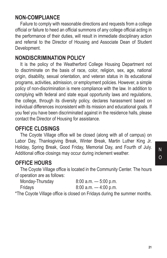#### **NON-COMPLIANCE**

Failure to comply with reasonable directions and requests from a college official or failure to heed an official summons of any college official acting in the performance of their duties, will result in immediate disciplinary action and referral to the Director of Housing and Associate Dean of Student Development.

#### **NONDISCRIMINATION POLICY**

It is the policy of the Weatherford College Housing Department not to discriminate on the basis of race, color, religion, sex, age, national origin, disability, sexual orientation, and veteran status in its educational programs, activities, admission, or employment policies. However, a simple policy of non-discrimination is mere compliance with the law. In addition to complying with federal and state equal opportunity laws and regulations, the college, through its diversity policy, declares harassment based on individual differences inconsistent with its mission and educational goals. If you feel you have been discriminated against in the residence halls, please contact the Director of Housing for assistance.

#### **OFFICE CLOSINGS**

The Coyote Village office will be closed (along with all of campus) on Labor Day, Thanksgiving Break, Winter Break, Martin Luther King Jr. Holiday, Spring Break, Good Friday, Memorial Day, and Fourth of July. Additional office closings may occur during inclement weather.

#### **OFFICE HOURS**

The Coyote Village office is located in the Community Center. The hours of operation are as follows:

| Monday-Thursday | $8:00$ a.m. $-5:00$ p.m. |
|-----------------|--------------------------|
| Fridays         | $8:00$ a.m. $-4:00$ p.m. |

\*The Coyote Village office is closed on Fridays during the summer months.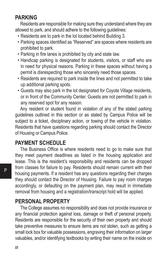#### **PARKING**

Residents are responsible for making sure they understand where they are allowed to park, and should adhere to the following guidelines:

- Residents are to park in the lot located behind Building 3.
- Parking spaces identified as "Reserved" are spaces where residents are prohibited to park.
- Parking in fire lanes is prohibited by city and state law.
- Handicap parking is designated for students, visitors, or staff who are in need for physical reasons. Parking in these spaces without having a permit is disrespecting those who sincerely need those spaces.
- Residents are required to park inside the lines and not permitted to take up additional parking spots.
- Guests may also park in the lot designated for Coyote Village residents, or in front of the Community Center. Guests are not permitted to park in any reserved spot for any reason.

Any resident or student found in violation of any of the stated parking guidelines outlined in this section or as stated by Campus Police will be subject to a ticket, disciplinary action, or towing of the vehicle in violation. Residents that have questions regarding parking should contact the Director of Housing or Campus Police.

#### **PAYMENT SCHEDULE**

The Business Office is where residents need to go to make sure that they meet payment deadlines as listed in the housing application and lease. This is the resident's responsibility and residents can be dropped from classes for failure to pay. Residents should remain current with their housing payments. If a resident has any questions regarding their charges they should contact the Director of Housing. Failure to pay room charges accordingly, or defaulting on the payment plan, may result in immediate removal from housing and a registration/transcript hold will be applied.

#### **PERSONAL PROPERTY**

The College assumes no responsibility and does not provide insurance or any financial protection against loss, damage or theft of personal property. Residents are responsible for the security of their own property and should take preventive measures to ensure items are not stolen, such as getting a small lock box for valuable possessions, engraving their information on larger valuables, and/or identifying textbooks by writing their name on the inside on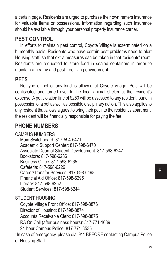a certain page. Residents are urged to purchase their own renters insurance for valuable items or possessions. Information regarding such insurance should be available through your personal property insurance carrier.

# **PEST CONTROL**

In efforts to maintain pest control, Coyote Village is exterminated on a bi-monthly basis. Residents who have certain pest problems need to alert Housing staff, so that extra measures can be taken in that residents' room. Residents are requested to store food in sealed containers in order to maintain a heathy and pest-free living environment.

# **PETS**

No type of pet of any kind is allowed at Coyote village. Pets will be confiscated and turned over to the local animal shelter at the resident's expense. A pet violation fine of \$250 will be assessed to any resident found in possession of a pet as well as possible disciplinary action. This also applies to any resident that allows a guest to bring their pet into the resident's apartment, the resident will be financially responsible for paying the fee.

# **PHONE NUMBERS**

CAMPUS NUMBERS

Main Switchboard: 817-594-5471 Academic Support Center: 817-598-6470 Associate Dean of Student Development: 817-598-6247 Bookstore: 817-598-6286 Business Office: 817-598-6265 Cafeteria: 817-598-6226 Career/Transfer Services: 817-598-6498 Financial Aid Office: 817-598-6295 Library: 817-598-6252 Student Services: 817-598-6244

STUDENT HOUSING

Coyote Village Front Office: 817-598-8876 Director of Housing: 817-598-8874 Accounts Receivable Clerk: 817-598-8875 RA On Call (after business hours): 817-771-1089 24-hour Campus Police: 817-771-3535

\*In case of emergency, please dial 911 BEFORE contacting Campus Police or Housing Staff.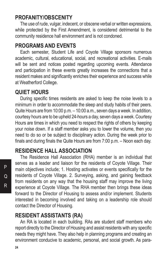#### **PROFANITY/OBSCENITY**

The use of rude, vulgar, indecent, or obscene verbal or written expressions, while protected by the First Amendment, is considered detrimental to the community residence hall environment and is not condoned.

#### **PROGRAMS AND EVENTS**

Each semester, Student Life and Coyote Village sponsors numerous academic, cultural, educational, social, and recreational activities. E-mails will be sent and notices posted regarding upcoming events. Attendance and participation in these events greatly increases the connections that a resident makes and significantly enriches their experience and success while at Weatherford College.

#### **QUIET HOURS**

During specific times residents are asked to keep the noise levels to a minimum in order to accommodate the sleep and study habits of their peers. Quite Hours are from 10:00 p.m. – 10:00 a.m., seven days a week. In addition, courtesy hours are to be upheld 24-hours a day, seven days a week. Courtesy Hours are times in which you need to respect the rights of others by keeping your noise down. If a staff member asks you to lower the volume, then you need to do so or be subject to disciplinary action. During the week prior to finals and during finals the Quite Hours are from 7:00 p.m. – Noon each day.

#### **RESIDENCE HALL ASSOCIATION**

The Residence Hall Association (RHA) member is an individual that serves as a leader and liaison for the residents of Coyote Village. Their main objectives include; 1. Hosting activates or events specifically for the residents of Coyote Village. 2. Surveying, asking, and gaining feedback from residents on any way that the housing staff may improve the living experience at Coyote Village. The RHA member then brings these ideas forward to the Director of Housing to assess and/or implement. Students interested in becoming involved and taking on a leadership role should contact the Director of Housing.

#### **RESIDENT ASSISTANTS (RA)**

An RA is located in each building. RAs are student staff members who report directly to the Director of Housing and assist residents with any specific needs they might have. They also help in planning programs and creating an environment conducive to academic, personal, and social growth. As para-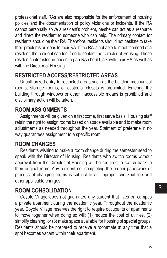professional staff, RAs are also responsible for the enforcement of housing policies and the documentation of policy violations or incidents. If the RA cannot personally solve a resident's problem, he/she can act as a resource and direct the resident to someone who can help. The primary contact for residents should be their RA. Therefore, residents should not hesitate to take their problems or ideas to their RA. If the RA is not able to meet the need of a resident, the resident can feel free to contact the Director of Housing. Those residents interested in becoming an RA should talk with their RA as well as with the Director of Housing.

# **RESTRICTED ACCESS/RESTRICTED AREAS**

Unauthorized entry to restricted areas such as the building mechanical rooms, storage rooms, or custodial closets is prohibited. Entering the building through windows or other inaccessible means is prohibited and disciplinary action will be taken.

# **ROOM ASSIGNMENTS**

Assignments will be given on a first come, first serve basis. Housing staff retain the right to assign rooms based on space available and to make room adjustments as needed throughout the year. Statment of preferene in no way guarantees assignment to a specific room.

# **ROOM CHANGES**

Residents wishing to make a room change during the semester need to speak with the Director of Housing. Residents who switch rooms without approval from the Director of Housing will be required to switch back to their original room. Any resident not completing the proper paperwork or process of changing rooms is subject to an improper checkout fee and other applicable charges.

# **ROOM CONSOLIDATION**

Coyote Village does not guarantee any student that lives on campus a private apartment during the academic year. Throughout the academic year, Coyote Village reserves the right to require occupants of apartments to move together when doing so will: (1) reduce the cost of utilities, (2) simplify cleaning, or (3) make space available for housing of special groups. Residents should be prepared to receive a roommate at any time that a spot becomes vacant within their apartment.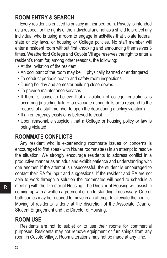# **ROOM ENTRY & SEARCH**

Every resident is entitled to privacy in their bedroom. Privacy is intended as a respect for the rights of the individual and not as a shield to protect any individual who is using a room to engage in activities that violate federal, state or city laws, or housing or College policies. No staff member will enter a resident room without first knocking and announcing themselves 3 times. Weatherford College and Coyote Village reserves the right to enter a resident's room for, among other reasons, the following:

- At the invitation of the resident
- An occupant of the room may be ill, physically harmed or endangered
- To conduct periodic health and safety room inspections
- During holiday and semester building close-downs
- To provide maintenance services
- If there is cause to believe that a violation of college regulations is occurring (including failure to evacuate during drills or to respond to the request of a staff member to open the door during a policy violation)
- If an emergency exists or is believed to exist
- Upon reasonable suspicion that a College or housing policy or law is being violated

#### **ROOMMATE CONFLICTS**

Any resident who is experiencing roommate issues or concerns is encouraged to first speak with his/her roommate(s) in an attempt to resolve the situation. We strongly encourage residents to address conflict in a productive manner as an adult and exhibit patience and understanding with one another. If the attempt is unsuccessful, the student is encouraged to contact their RA for input and suggestions. If the resident and RA are not able to work through a solution the roommates will need to schedule a meeting with the Director of Housing. The Director of Housing will assist in coming up with a written agreement or understanding if necessary. One or both parties may be required to move in an attempt to alleviate the conflict. Moving of residents is done at the discretion of the Associate Dean of Student Engagement and the Director of Housing.

#### **ROOM USE**

Residents are not to sublet or to use their rooms for commercial purposes. Residents may not remove equipment or furnishings from any room in Coyote Village. Room alterations may not be made at any time.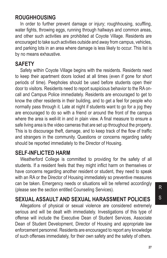#### **ROUGHHOUSING**

In order to further prevent damage or injury; roughhousing, scuffling, water fights, throwing eggs, running through hallways and common areas, and other such activities are prohibited at Coyote Village. Residents are encouraged to take such activities outside and away from campus, vehicles, and parking lots in an area where damage is less likely to occur. This list is by no means exhaustive.

#### **SAFETY**

Safety within Coyote Village begins with the residents. Residents need to keep their apartment doors locked at all times (even if gone for short periods of time). Peepholes should be used before students open their door to visitors. Residents need to report suspicious behavior to the RA oncall and Campus Police immediately. Residents are encouraged to get to know the other residents in their building, and to get a feel for people who normally pass through it. Late at night if students want to go for a jog they are encouraged to do so with a friend or around the front of the campus where the area is well-lit in and in plain view. A final measure to ensure a safe living area is the video cameras that are set up throughout the property. This is to discourage theft, damage, and to keep track of the flow of traffic and strangers in the community. Questions or concerns regarding safety should be reported immediately to the Director of Housing.

#### **SELF-INFLICTED HARM**

Weatherford College is committed to providing for the safety of all students. If a resident feels that they might inflict harm on themselves or have concerns regarding another resident or student, they need to speak with an RA or the Director of Housing immediately so preventive measures can be taken. Emergency needs or situations will be referred accordingly (please see the section entitled Counseling Services).

# **SEXUAL ASSAULT AND SEXUAL HARASSMENT POLICIES**

Allegations of physical or sexual violence are considered extremely serious and will be dealt with immediately. Investigations of this type of offense will include the Executive Dean of Student Services, Associate Dean of Student Development, Director of Housing and appropriate law enforcement personnel. Residents are encouraged to report any knowledge of such offenses immediately, for their own safety and the safety of others.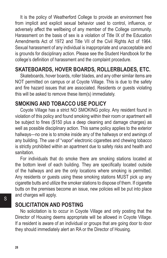It is the policy of Weatherford College to provide an environment free from implicit and explicit sexual behavior used to control, influence, or adversely affect the wellbeing of any member of the College community. Harassment on the basis of sex is a violation of Title IX of the Education Amendments Act of 1972 and Title VII of the Civil Rights Act of 1964. Sexual harassment of any individual is inappropriate and unacceptable and is grounds for disciplinary action. Please see the Student Handbook for the college's definition of harassment and the complaint procedure.

# **SKATEBOARDS, HOVER BOARDS, ROLLERBLADES, ETC.**

Skateboards, hover boards, roller blades, and any other similar items are NOT permitted on campus or at Coyote Village. This is due to the safety and fire hazard issues that are associated. Residents or guests violating this will be asked to remove these item(s) immediately.

#### **SMOKING AND TOBACCO USE POLICY**

Coyote Village has a strict NO SMOKING policy. Any resident found in violation of this policy and found smoking within their room or apartment will be subject to fines (\$150 plus a deep cleaning and damage charges) as well as possible disciplinary action. This same policy applies to the exterior hallways—no one is to smoke inside any of the hallways or end awnings of any building. The use of "vapor" electronic cigarettes and chewing tobacco is strictly prohibited within an apartment due to safety risks and health and sanitation.

For individuals that do smoke there are smoking stations located at the bottom level of each building. They are specifically located outside of the hallways and are the only locations where smoking is permitted. Any residents or guests using these smoking stations MUST pick up any cigarette butts and utilize the smoker stations to dispose of them. If cigarette butts on the premises become an issue, new policies will be put into place and charges will apply.

#### **SOLICITATION AND POSTING**

No solicitation is to occur in Coyote Village and only posting that the Director of Housing deems appropriate will be allowed in Coyote Village. If a resident is aware of an individual or groups that are going door to door they should immediately alert an RA or the Director of Housing.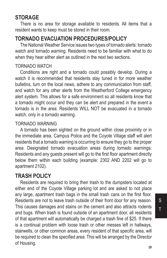#### **STORAGE**

There is no area for storage available to residents. All items that a resident wants to keep must be stored in their room.

# **TORNADO EVACUATION PROCEDURES/POLICY**

The National Weather Service issues two types of tornado alerts: tornado watch and tornado warning. Residents need to be familiar with what to do when they hear either alert as outlined in the next two sections.

#### TORNADO WATCH

Conditions are right and a tornado could possibly develop. During a watch it is recommended that residents stay tuned in for more weather bulletins, turn on the local news, adhere to any communication from staff, and watch for any other alerts from the Weatherford College emergency alert system. This allows for a safe environment so all residents know that a tornado might occur and they can be alert and prepared in the event a tornado is in the area. Residents WILL NOT be evacuated in a tornado watch, only in a tornado warning.

#### TORNADO WARNING

A tornado has been sighted on the ground within close proximity or in the immediate area. Campus Police and the Coyote Village staff will alert residents that a tornado warning is occurring to ensure they go to the proper area. Designated tornado evacuation areas during tornado warnings: Residents and any guests present will go to the first floor apartment directly below them within each building (example: 2302 AND 2202 will go to apartment 2102).

#### **TRASH POLICY**

Residents are required to bring their trash to the dumpsters located at either end of the Coyote Village parking lot and are asked to not place any large, apartment trash bags in the small trash cans on the first floor. Residents are not to leave trash outside of their front door for any reason. This causes damages and stains on the cement and also attracts rodents and bugs. When trash is found outside of an apartment door, all residents of that apartment will automatically be charged a trash fine of \$25. If there is a continual problem with loose trash or other messes left in hallways, stairwells, or other common areas, every resident of that specific area, will be required to clean the specified area. This will be arranged by the Director of Housing.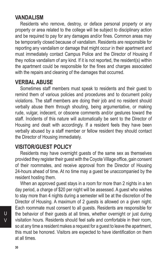#### **VANDALISM**

Residents who remove, destroy, or deface personal property or any property or area related to the college will be subject to disciplinary action and be required to pay for any damages and/or fines. Common areas may be temporarily closed because of vandalism. Residents are responsible for reporting any vandalism or damage that might occur in their apartment and must immediately contact Campus Police and the Director of Housing if they notice vandalism of any kind. If it is not reported, the resident(s) within the apartment could be responsible for the fines and charges associated with the repairs and cleaning of the damages that occurred.

#### **VERBAL ABUSE**

Sometimes staff members must speak to residents and their guest to remind them of various policies and procedures and to document policy violations. The staff members are doing their job and no resident should verbally abuse them through shouting, being argumentative, or making rude, vulgar, indecent, or obscene comments and/or gestures toward the staff. Incidents of this nature will automatically be sent to the Director of Housing and dealt with accordingly. If a resident feels they have been verbally abused by a staff member or fellow resident they should contact the Director of Housing immediately.

#### **VISITOR/GUEST POLICY**

Residents may have overnight guests of the same sex as themselves provided they register their guest with the Coyote Village office, gain consent of their roommates, and receive approval from the Director of Housing 24-hours ahead of time. At no time may a guest be unaccompanied by the resident hosting them.

When an approved guest stays in a room for more than 2 nights in a ten day period, a charge of \$20 per night will be assessed. A guest who wishes to stay more than 4 nights during a semester will be at the discretion of the Director of Housing. A maximum of 2 guests is allowed on a given night. Each roommate must consent to all guests. Residents are responsible for the behavior of their guests at all times, whether overnight or just during visitation hours. Residents should feel safe and comfortable in their room, so at any time a resident makes a request for a guest to leave the apartment, this must be honored. Visitors are expected to have identification on them at all times.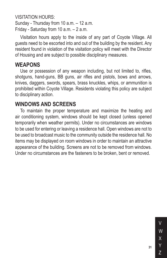VISITATION HOURS:

Sunday - Thursday from 10 a.m. – 12 a.m. Friday - Saturday from 10 a.m. – 2 a.m.

Visitation hours apply to the inside of any part of Coyote Village. All guests need to be escorted into and out of the building by the resident. Any resident found in violation of the visitation policy will meet with the Director of Housing and are subject to possible disciplinary measures.

#### **WEAPONS**

Use or possession of any weapon including, but not limited to, rifles, shotguns, hand-guns, BB guns, air rifles and pistols, bows and arrows, knives, daggers, swords, spears, brass knuckles, whips, or ammunition is prohibited within Coyote Village. Residents violating this policy are subject to disciplinary action.

#### **WINDOWS AND SCREENS**

To maintain the proper temperature and maximize the heating and air conditioning system, windows should be kept closed (unless opened temporarily when weather permits). Under no circumstances are windows to be used for entering or leaving a residence hall. Open windows are not to be used to broadcast music to the community outside the residence hall. No items may be displayed on room windows in order to maintain an attractive appearance of the building. Screens are not to be removed from windows. Under no circumstances are the fasteners to be broken, bent or removed.